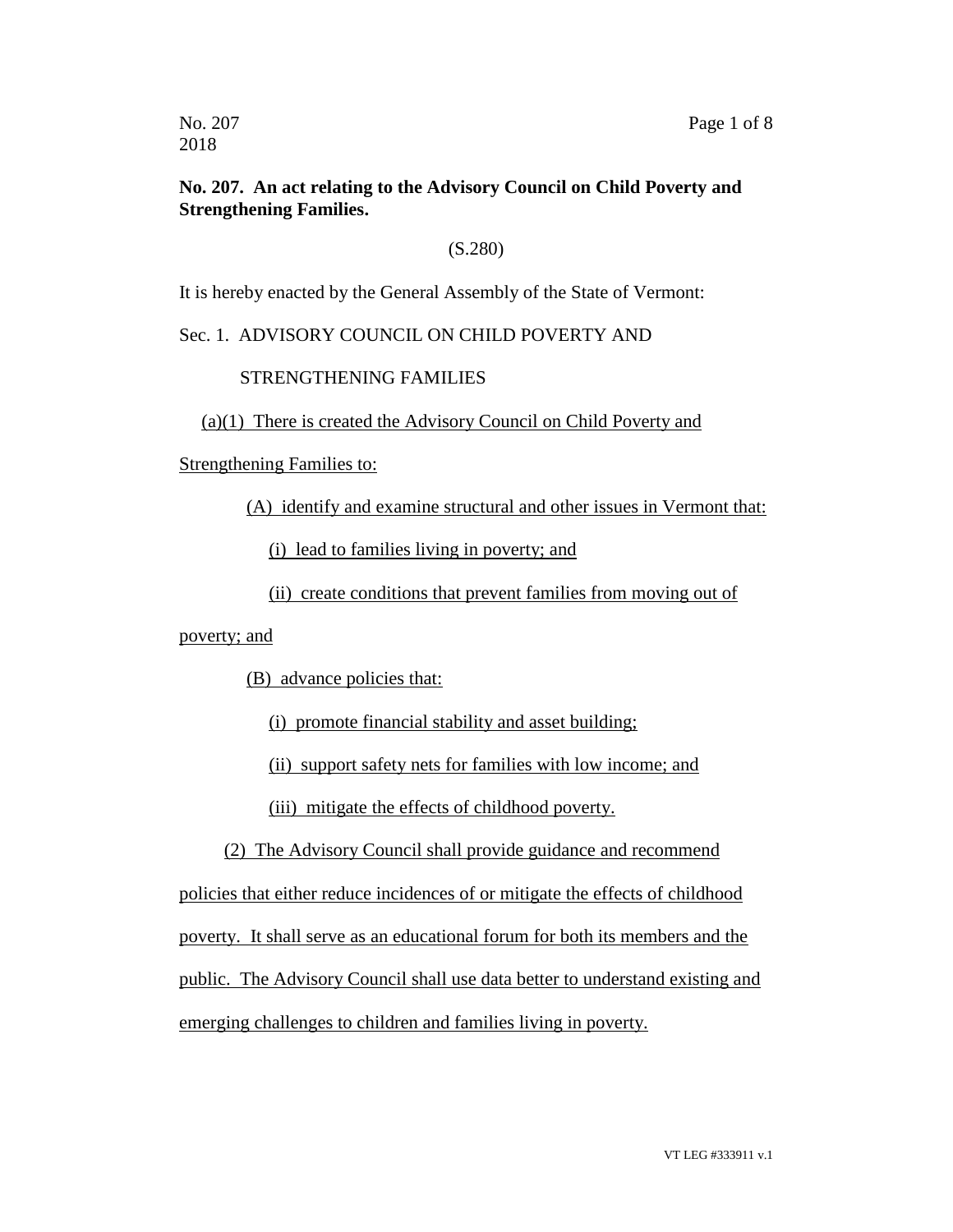#### **No. 207. An act relating to the Advisory Council on Child Poverty and Strengthening Families.**

#### (S.280)

It is hereby enacted by the General Assembly of the State of Vermont:

#### Sec. 1. ADVISORY COUNCIL ON CHILD POVERTY AND

#### STRENGTHENING FAMILIES

#### (a)(1) There is created the Advisory Council on Child Poverty and

Strengthening Families to:

(A) identify and examine structural and other issues in Vermont that:

(i) lead to families living in poverty; and

(ii) create conditions that prevent families from moving out of

#### poverty; and

(B) advance policies that:

(i) promote financial stability and asset building;

(ii) support safety nets for families with low income; and

(iii) mitigate the effects of childhood poverty.

(2) The Advisory Council shall provide guidance and recommend

policies that either reduce incidences of or mitigate the effects of childhood poverty. It shall serve as an educational forum for both its members and the public. The Advisory Council shall use data better to understand existing and

emerging challenges to children and families living in poverty.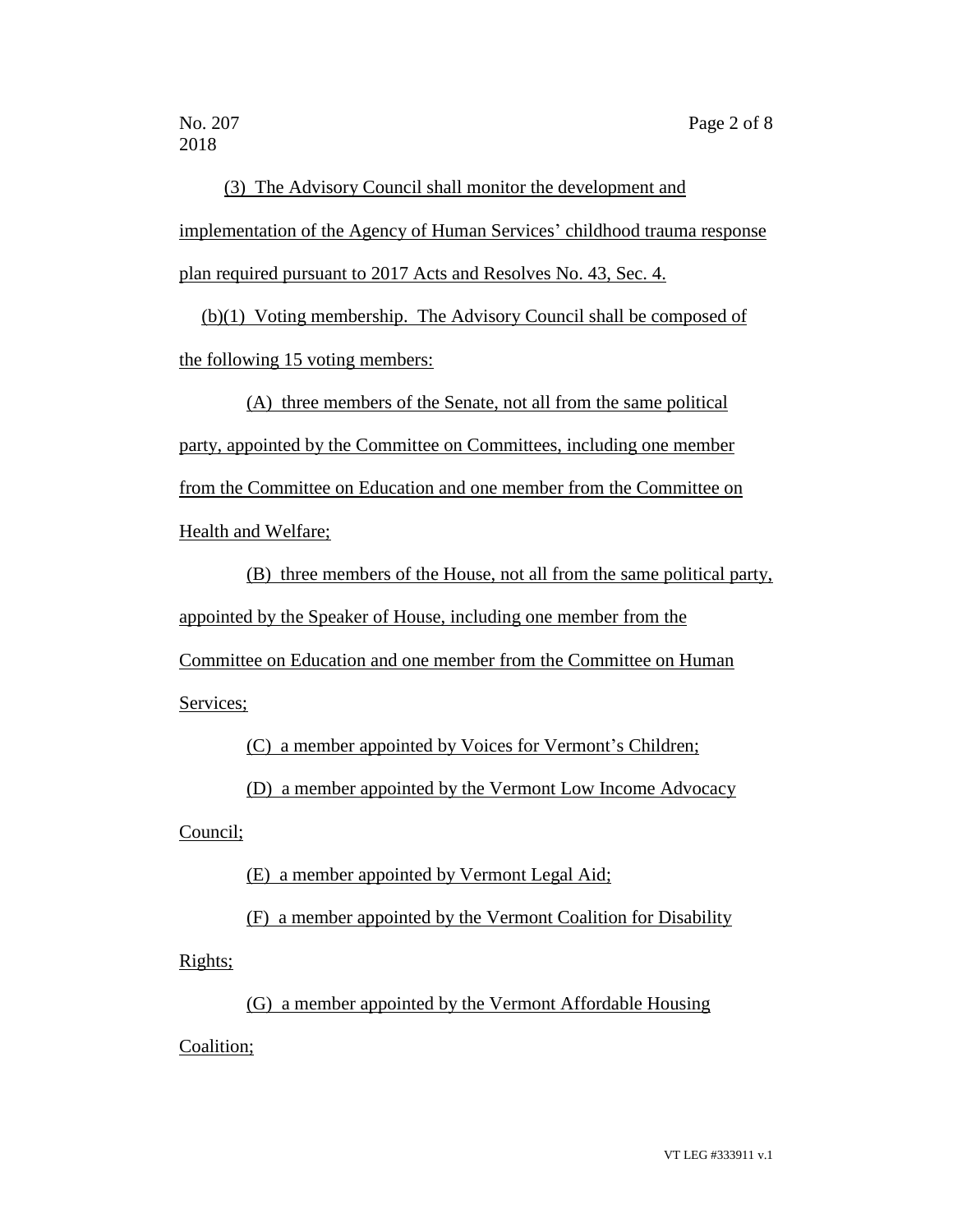2018

(3) The Advisory Council shall monitor the development and implementation of the Agency of Human Services' childhood trauma response plan required pursuant to 2017 Acts and Resolves No. 43, Sec. 4.

(b)(1) Voting membership. The Advisory Council shall be composed of the following 15 voting members:

(A) three members of the Senate, not all from the same political party, appointed by the Committee on Committees, including one member from the Committee on Education and one member from the Committee on Health and Welfare;

(B) three members of the House, not all from the same political party, appointed by the Speaker of House, including one member from the Committee on Education and one member from the Committee on Human Services;

(C) a member appointed by Voices for Vermont's Children;

(D) a member appointed by the Vermont Low Income Advocacy

Council;

(E) a member appointed by Vermont Legal Aid;

(F) a member appointed by the Vermont Coalition for Disability Rights;

(G) a member appointed by the Vermont Affordable Housing

Coalition;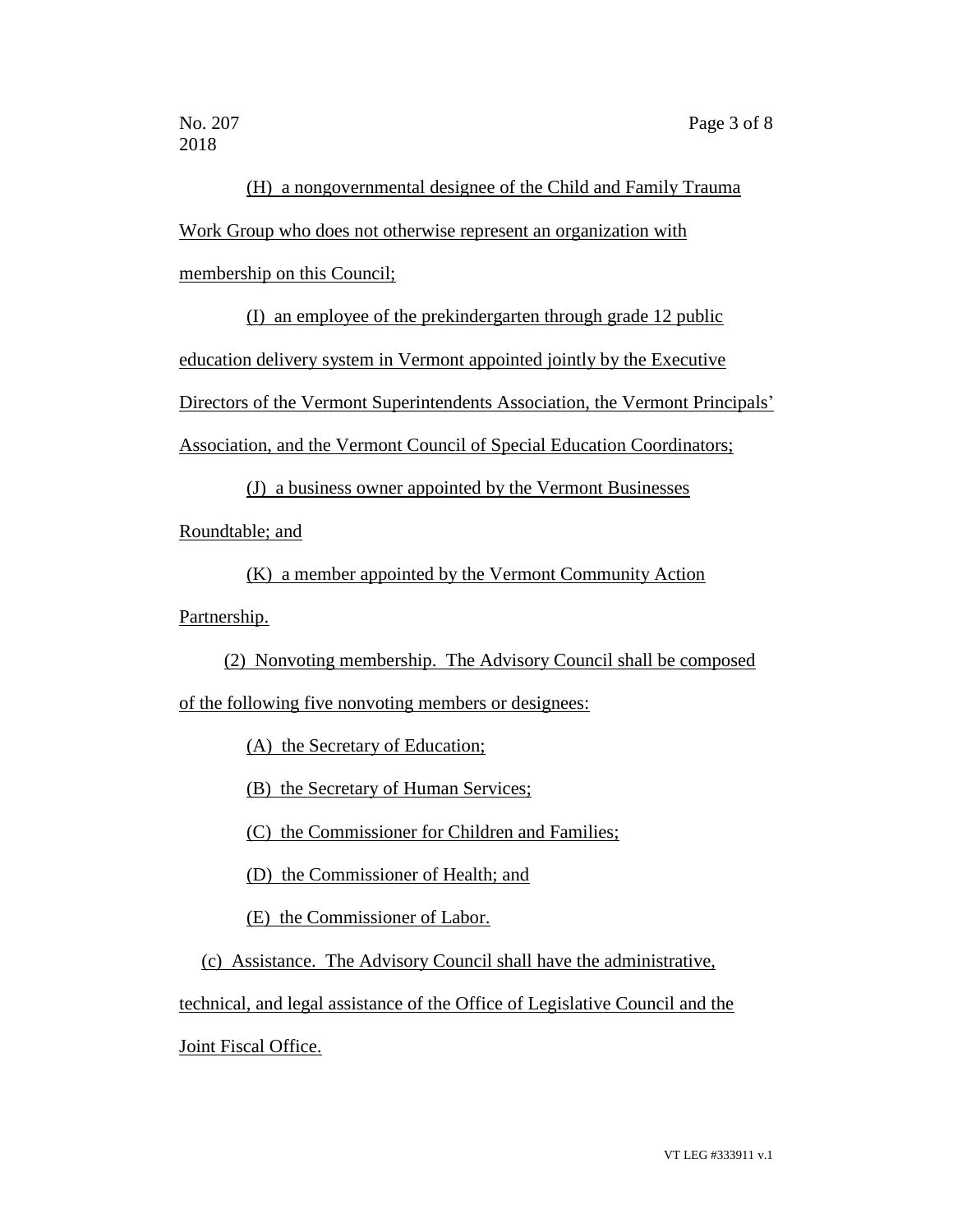2018

# (H) a nongovernmental designee of the Child and Family Trauma Work Group who does not otherwise represent an organization with membership on this Council;

(I) an employee of the prekindergarten through grade 12 public education delivery system in Vermont appointed jointly by the Executive Directors of the Vermont Superintendents Association, the Vermont Principals'

Association, and the Vermont Council of Special Education Coordinators;

(J) a business owner appointed by the Vermont Businesses

Roundtable; and

(K) a member appointed by the Vermont Community Action

Partnership.

(2) Nonvoting membership. The Advisory Council shall be composed

of the following five nonvoting members or designees:

(A) the Secretary of Education;

(B) the Secretary of Human Services;

(C) the Commissioner for Children and Families;

(D) the Commissioner of Health; and

(E) the Commissioner of Labor.

(c) Assistance. The Advisory Council shall have the administrative,

technical, and legal assistance of the Office of Legislative Council and the

Joint Fiscal Office.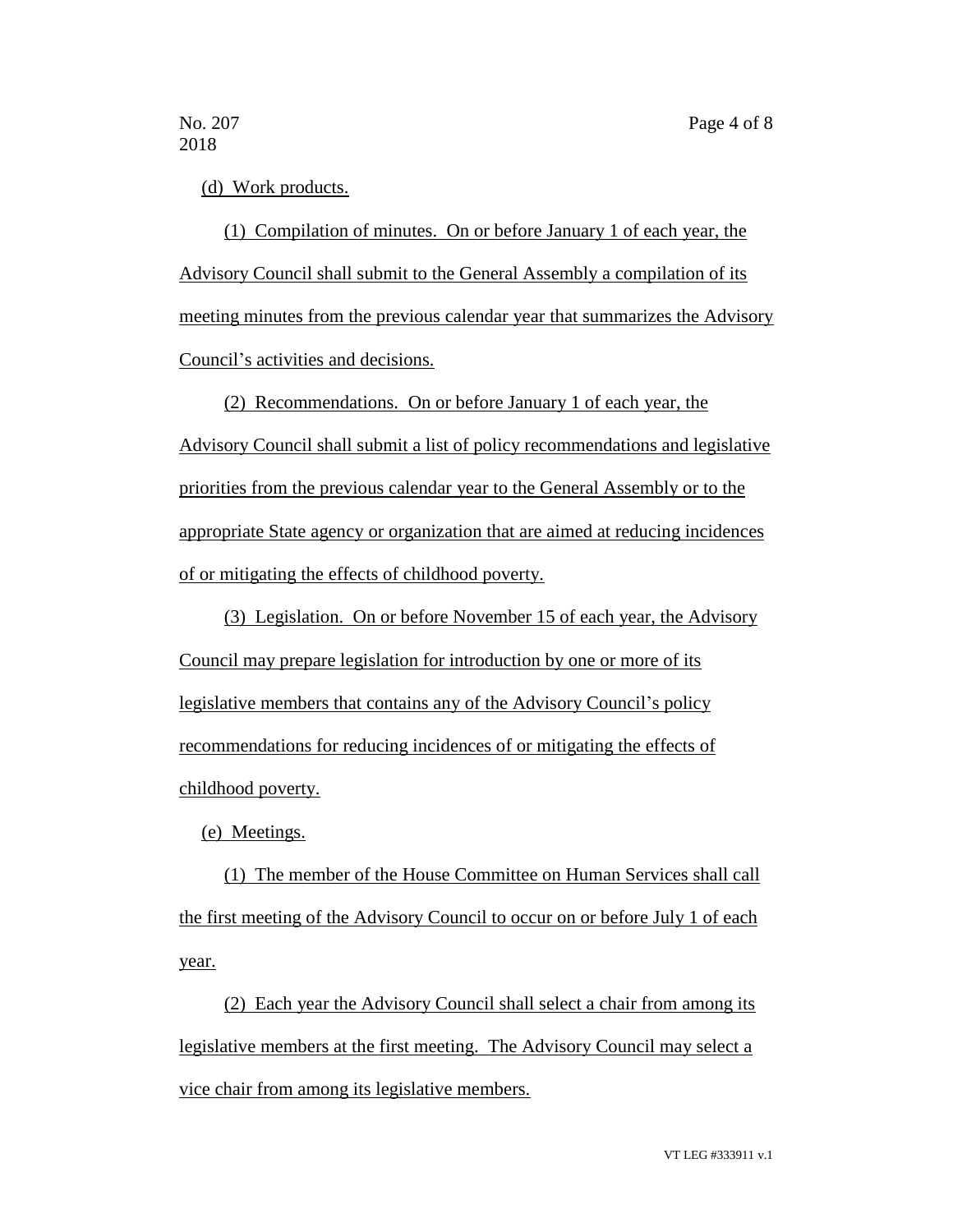#### (d) Work products.

(1) Compilation of minutes. On or before January 1 of each year, the Advisory Council shall submit to the General Assembly a compilation of its meeting minutes from the previous calendar year that summarizes the Advisory Council's activities and decisions.

(2) Recommendations. On or before January 1 of each year, the

Advisory Council shall submit a list of policy recommendations and legislative priorities from the previous calendar year to the General Assembly or to the appropriate State agency or organization that are aimed at reducing incidences of or mitigating the effects of childhood poverty.

(3) Legislation. On or before November 15 of each year, the Advisory Council may prepare legislation for introduction by one or more of its legislative members that contains any of the Advisory Council's policy recommendations for reducing incidences of or mitigating the effects of childhood poverty.

(e) Meetings.

(1) The member of the House Committee on Human Services shall call the first meeting of the Advisory Council to occur on or before July 1 of each year.

(2) Each year the Advisory Council shall select a chair from among its legislative members at the first meeting. The Advisory Council may select a vice chair from among its legislative members.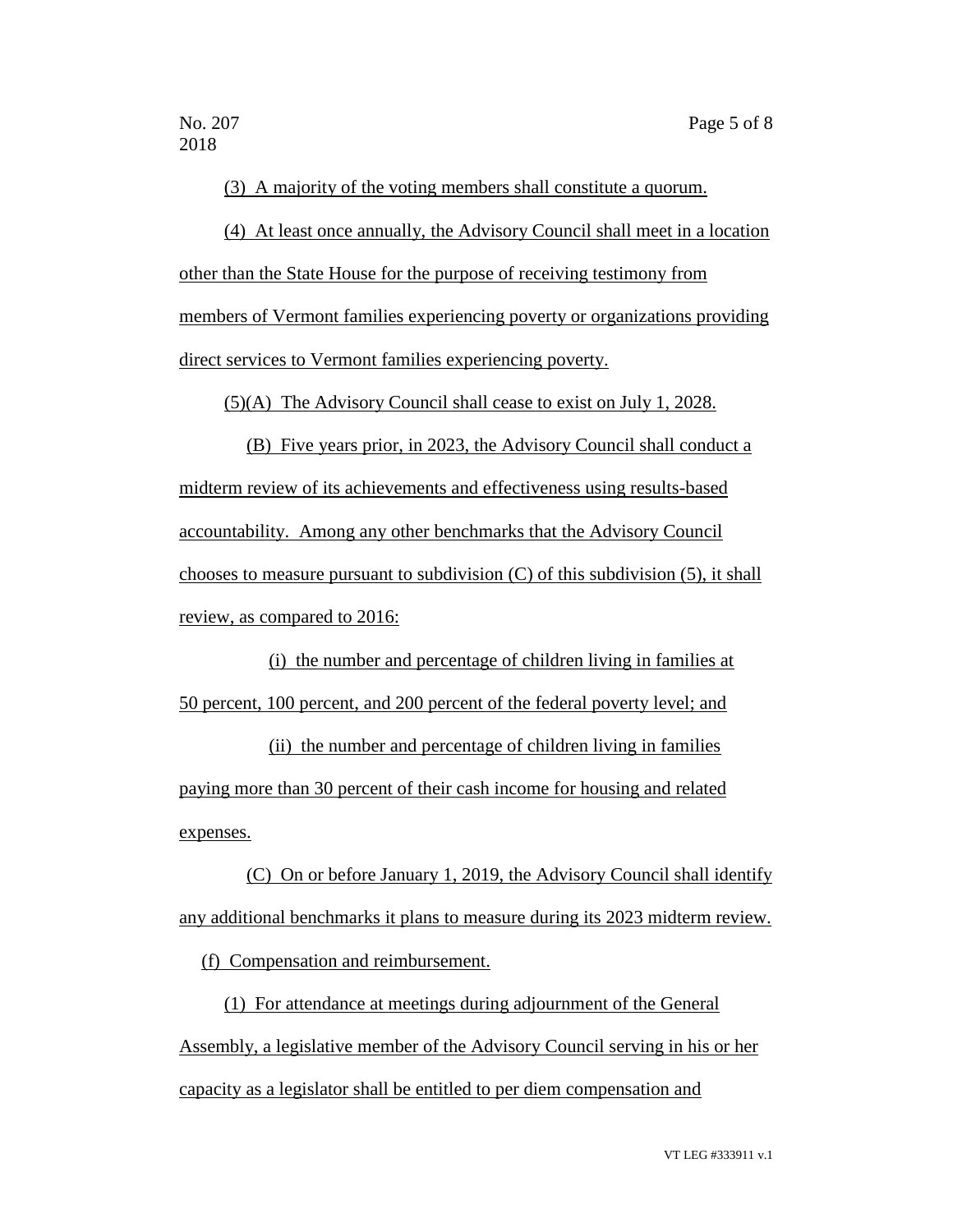(3) A majority of the voting members shall constitute a quorum.

(4) At least once annually, the Advisory Council shall meet in a location other than the State House for the purpose of receiving testimony from members of Vermont families experiencing poverty or organizations providing direct services to Vermont families experiencing poverty.

(5)(A) The Advisory Council shall cease to exist on July 1, 2028.

(B) Five years prior, in 2023, the Advisory Council shall conduct a midterm review of its achievements and effectiveness using results-based accountability. Among any other benchmarks that the Advisory Council chooses to measure pursuant to subdivision  $(C)$  of this subdivision  $(5)$ , it shall review, as compared to 2016:

(i) the number and percentage of children living in families at 50 percent, 100 percent, and 200 percent of the federal poverty level; and

(ii) the number and percentage of children living in families paying more than 30 percent of their cash income for housing and related expenses.

(C) On or before January 1, 2019, the Advisory Council shall identify any additional benchmarks it plans to measure during its 2023 midterm review.

(f) Compensation and reimbursement.

(1) For attendance at meetings during adjournment of the General Assembly, a legislative member of the Advisory Council serving in his or her capacity as a legislator shall be entitled to per diem compensation and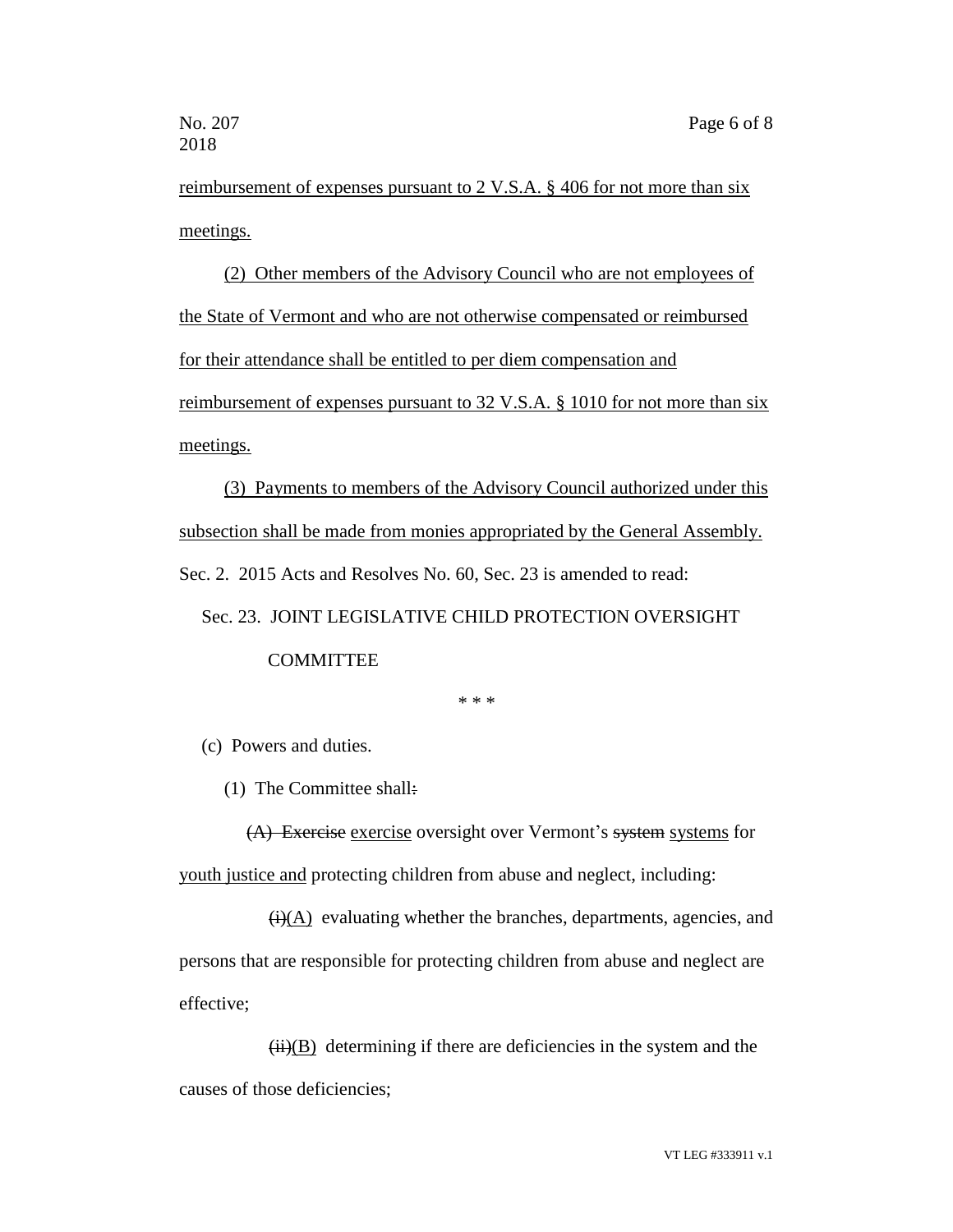reimbursement of expenses pursuant to 2 V.S.A. § 406 for not more than six meetings.

(2) Other members of the Advisory Council who are not employees of the State of Vermont and who are not otherwise compensated or reimbursed for their attendance shall be entitled to per diem compensation and reimbursement of expenses pursuant to 32 V.S.A. § 1010 for not more than six meetings.

(3) Payments to members of the Advisory Council authorized under this subsection shall be made from monies appropriated by the General Assembly. Sec. 2. 2015 Acts and Resolves No. 60, Sec. 23 is amended to read:

## Sec. 23. JOINT LEGISLATIVE CHILD PROTECTION OVERSIGHT **COMMITTEE**

\* \* \*

(c) Powers and duties.

(1) The Committee shall:

(A) Exercise exercise oversight over Vermont's system systems for youth justice and protecting children from abuse and neglect, including:

 $\overrightarrow{(i)}$ (A) evaluating whether the branches, departments, agencies, and persons that are responsible for protecting children from abuse and neglect are effective;

 $(ii)(B)$  determining if there are deficiencies in the system and the causes of those deficiencies;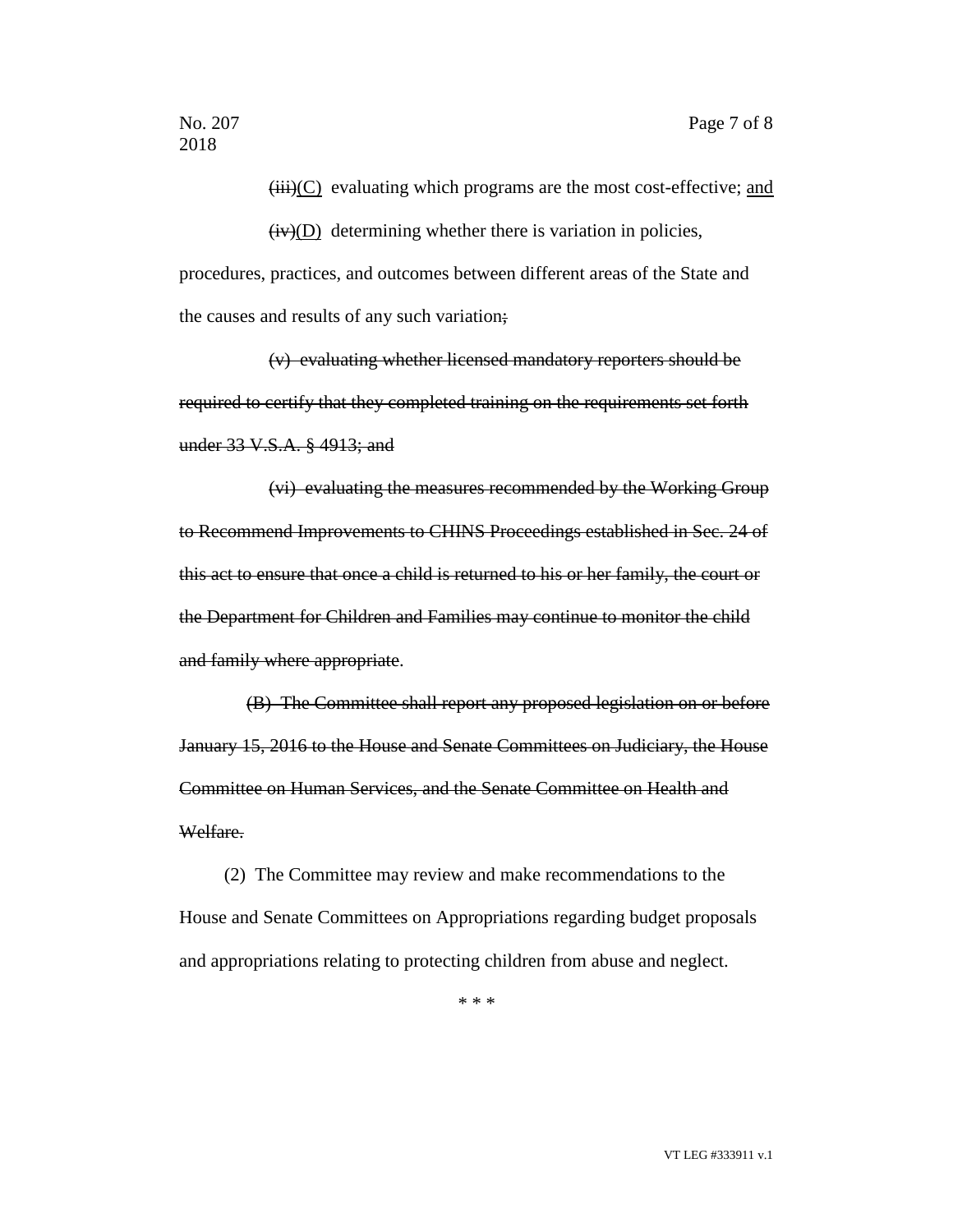$(iii)(C)$  evaluating which programs are the most cost-effective; and

 $(iv)(D)$  determining whether there is variation in policies, procedures, practices, and outcomes between different areas of the State and the causes and results of any such variation;

(v) evaluating whether licensed mandatory reporters should be required to certify that they completed training on the requirements set forth under 33 V.S.A. § 4913; and

(vi) evaluating the measures recommended by the Working Group to Recommend Improvements to CHINS Proceedings established in Sec. 24 of this act to ensure that once a child is returned to his or her family, the court or the Department for Children and Families may continue to monitor the child and family where appropriate.

(B) The Committee shall report any proposed legislation on or before January 15, 2016 to the House and Senate Committees on Judiciary, the House Committee on Human Services, and the Senate Committee on Health and Welfare.

(2) The Committee may review and make recommendations to the House and Senate Committees on Appropriations regarding budget proposals and appropriations relating to protecting children from abuse and neglect.

\* \* \*